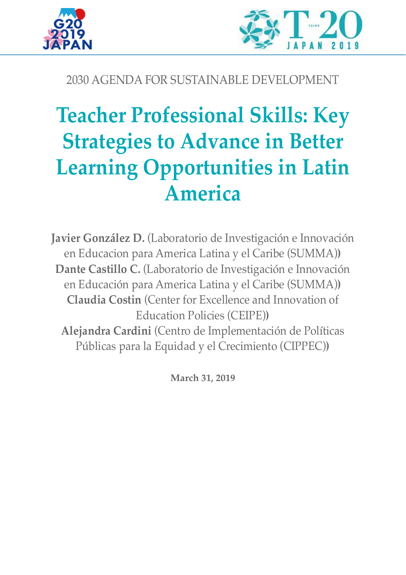



## 2030 AGENDA FOR SUSTAINABLE DEVELOPMENT

# **Teacher Professional Skills: Key Strategies to Advance in Better Learning Opportunities in Latin America**

**Javier González D.** (Laboratorio de Investigación e Innovación en Educacion para America Latina y el Caribe (SUMMA)**) Dante Castillo C.** (Laboratorio de Investigación e Innovación en Educación para America Latina y el Caribe (SUMMA)**) Claudia Costin** (Center for Excellence and Innovation of Education Policies (CEIPE)**) Alejandra Cardini** (Centro de Implementación de Políticas Públicas para la Equidad y el Crecimiento (CIPPEC)**)**

**March 31, 2019**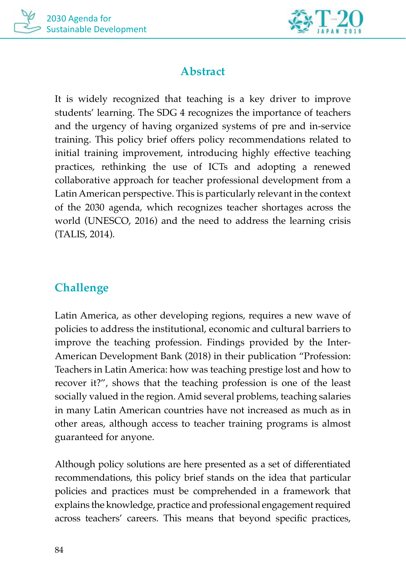



## **Abstract**

It is widely recognized that teaching is a key driver to improve students' learning. The SDG 4 recognizes the importance of teachers and the urgency of having organized systems of pre and in-service training. This policy brief offers policy recommendations related to initial training improvement, introducing highly effective teaching practices, rethinking the use of ICTs and adopting a renewed collaborative approach for teacher professional development from a Latin American perspective. This is particularly relevant in the context of the 2030 agenda, which recognizes teacher shortages across the world (UNESCO, 2016) and the need to address the learning crisis (TALIS, 2014).

# **Challenge**

Latin America, as other developing regions, requires a new wave of policies to address the institutional, economic and cultural barriers to improve the teaching profession. Findings provided by the Inter-American Development Bank (2018) in their publication "Profession: Teachers in Latin America: how was teaching prestige lost and how to recover it?", shows that the teaching profession is one of the least socially valued in the region. Amid several problems, teaching salaries in many Latin American countries have not increased as much as in other areas, although access to teacher training programs is almost guaranteed for anyone.

Although policy solutions are here presented as a set of differentiated recommendations, this policy brief stands on the idea that particular policies and practices must be comprehended in a framework that explains the knowledge, practice and professional engagement required across teachers' careers. This means that beyond specific practices,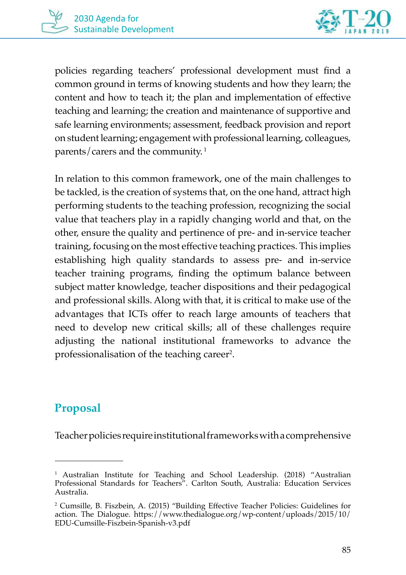



policies regarding teachers' professional development must find a common ground in terms of knowing students and how they learn; the content and how to teach it; the plan and implementation of effective teaching and learning; the creation and maintenance of supportive and safe learning environments; assessment, feedback provision and report on student learning; engagement with professional learning, colleagues, parents/carers and the community. 1

In relation to this common framework, one of the main challenges to be tackled, is the creation of systems that, on the one hand, attract high performing students to the teaching profession, recognizing the social value that teachers play in a rapidly changing world and that, on the other, ensure the quality and pertinence of pre- and in-service teacher training, focusing on the most effective teaching practices. This implies establishing high quality standards to assess pre- and in-service teacher training programs, finding the optimum balance between subject matter knowledge, teacher dispositions and their pedagogical and professional skills. Along with that, it is critical to make use of the advantages that ICTs offer to reach large amounts of teachers that need to develop new critical skills; all of these challenges require adjusting the national institutional frameworks to advance the professionalisation of the teaching career<sup>2</sup>.

## **Proposal**

Teacher policies require institutional frameworks with a comprehensive

<sup>1</sup> Australian Institute for Teaching and School Leadership. (2018) "Australian Professional Standards for Teachers". Carlton South, Australia: Education Services Australia.

<sup>2</sup> Cumsille, B. Fiszbein, A. (2015) "Building Effective Teacher Policies: Guidelines for action. The Dialogue. https://www.thedialogue.org/wp-content/uploads/2015/10/ EDU-Cumsille-Fiszbein-Spanish-v3.pdf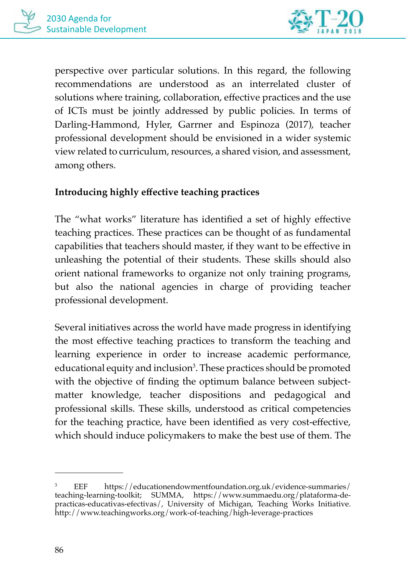

perspective over particular solutions. In this regard, the following recommendations are understood as an interrelated cluster of solutions where training, collaboration, effective practices and the use of ICTs must be jointly addressed by public policies. In terms of Darling-Hammond, Hyler, Garrner and Espinoza (2017), teacher professional development should be envisioned in a wider systemic view related to curriculum, resources, a shared vision, and assessment, among others.

#### **Introducing highly effective teaching practices**

The "what works" literature has identified a set of highly effective teaching practices. These practices can be thought of as fundamental capabilities that teachers should master, if they want to be effective in unleashing the potential of their students. These skills should also orient national frameworks to organize not only training programs, but also the national agencies in charge of providing teacher professional development.

Several initiatives across the world have made progress in identifying the most effective teaching practices to transform the teaching and learning experience in order to increase academic performance, educational equity and inclusion<sup>3</sup>. These practices should be promoted with the objective of finding the optimum balance between subjectmatter knowledge, teacher dispositions and pedagogical and professional skills. These skills, understood as critical competencies for the teaching practice, have been identified as very cost-effective, which should induce policymakers to make the best use of them. The

<sup>3</sup> EEF https://educationendowmentfoundation.org.uk/evidence-summaries/ teaching-learning-toolkit; SUMMA, https://www.summaedu.org/plataforma-depracticas-educativas-efectivas/, University of Michigan, Teaching Works Initiative. http://www.teachingworks.org/work-of-teaching/high-leverage-practices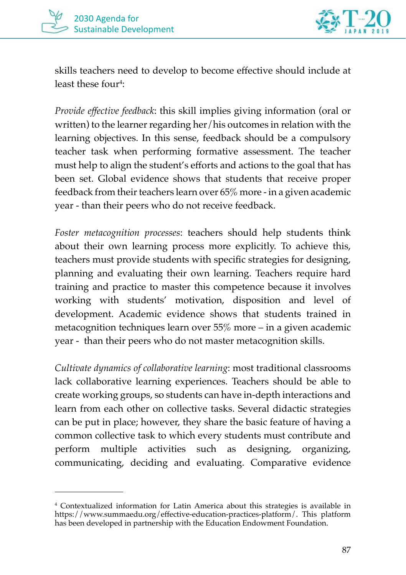



skills teachers need to develop to become effective should include at least these four<sup>4</sup>:

*Provide effective feedback*: this skill implies giving information (oral or written) to the learner regarding her/his outcomes in relation with the learning objectives. In this sense, feedback should be a compulsory teacher task when performing formative assessment. The teacher must help to align the student's efforts and actions to the goal that has been set. Global evidence shows that students that receive proper feedback from their teachers learn over 65% more - in a given academic year - than their peers who do not receive feedback.

*Foster metacognition processes*: teachers should help students think about their own learning process more explicitly. To achieve this, teachers must provide students with specific strategies for designing, planning and evaluating their own learning. Teachers require hard training and practice to master this competence because it involves working with students' motivation, disposition and level of development. Academic evidence shows that students trained in metacognition techniques learn over 55% more – in a given academic year - than their peers who do not master metacognition skills.

*Cultivate dynamics of collaborative learning*: most traditional classrooms lack collaborative learning experiences. Teachers should be able to create working groups, so students can have in-depth interactions and learn from each other on collective tasks. Several didactic strategies can be put in place; however, they share the basic feature of having a common collective task to which every students must contribute and perform multiple activities such as designing, organizing, communicating, deciding and evaluating. Comparative evidence

<sup>4</sup> Contextualized information for Latin America about this strategies is available in https://www.summaedu.org/effective-education-practices-platform/. This platform has been developed in partnership with the Education Endowment Foundation.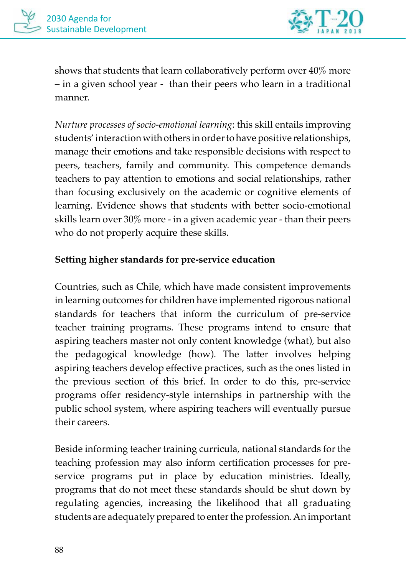

shows that students that learn collaboratively perform over 40% more – in a given school year - than their peers who learn in a traditional manner.

*Nurture processes of socio-emotional learning*: this skill entails improving students' interaction with others in order to have positive relationships, manage their emotions and take responsible decisions with respect to peers, teachers, family and community. This competence demands teachers to pay attention to emotions and social relationships, rather than focusing exclusively on the academic or cognitive elements of learning. Evidence shows that students with better socio-emotional skills learn over 30% more - in a given academic year - than their peers who do not properly acquire these skills.

#### **Setting higher standards for pre-service education**

Countries, such as Chile, which have made consistent improvements in learning outcomes for children have implemented rigorous national standards for teachers that inform the curriculum of pre-service teacher training programs. These programs intend to ensure that aspiring teachers master not only content knowledge (what), but also the pedagogical knowledge (how). The latter involves helping aspiring teachers develop effective practices, such as the ones listed in the previous section of this brief. In order to do this, pre-service programs offer residency-style internships in partnership with the public school system, where aspiring teachers will eventually pursue their careers.

Beside informing teacher training curricula, national standards for the teaching profession may also inform certification processes for preservice programs put in place by education ministries. Ideally, programs that do not meet these standards should be shut down by regulating agencies, increasing the likelihood that all graduating students are adequately prepared to enter the profession. An important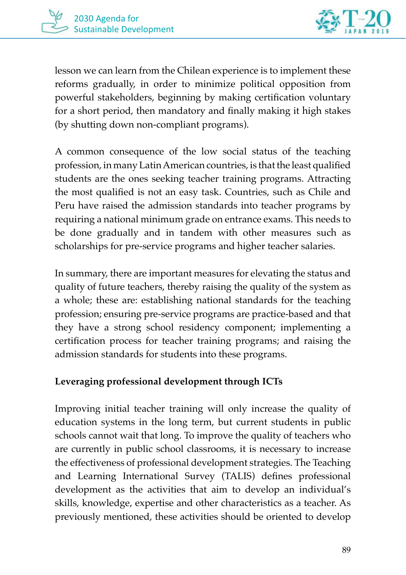

lesson we can learn from the Chilean experience is to implement these reforms gradually, in order to minimize political opposition from powerful stakeholders, beginning by making certification voluntary for a short period, then mandatory and finally making it high stakes (by shutting down non-compliant programs).

A common consequence of the low social status of the teaching profession, in many Latin American countries, is that the least qualified students are the ones seeking teacher training programs. Attracting the most qualified is not an easy task. Countries, such as Chile and Peru have raised the admission standards into teacher programs by requiring a national minimum grade on entrance exams. This needs to be done gradually and in tandem with other measures such as scholarships for pre-service programs and higher teacher salaries.

In summary, there are important measures for elevating the status and quality of future teachers, thereby raising the quality of the system as a whole; these are: establishing national standards for the teaching profession; ensuring pre-service programs are practice-based and that they have a strong school residency component; implementing a certification process for teacher training programs; and raising the admission standards for students into these programs.

#### **Leveraging professional development through ICTs**

Improving initial teacher training will only increase the quality of education systems in the long term, but current students in public schools cannot wait that long. To improve the quality of teachers who are currently in public school classrooms, it is necessary to increase the effectiveness of professional development strategies. The Teaching and Learning International Survey (TALIS) defines professional development as the activities that aim to develop an individual's skills, knowledge, expertise and other characteristics as a teacher. As previously mentioned, these activities should be oriented to develop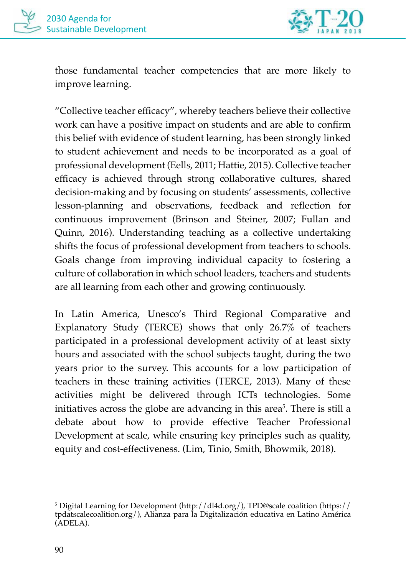

those fundamental teacher competencies that are more likely to improve learning.

"Collective teacher efficacy", whereby teachers believe their collective work can have a positive impact on students and are able to confirm this belief with evidence of student learning, has been strongly linked to student achievement and needs to be incorporated as a goal of professional development (Eells, 2011; Hattie, 2015). Collective teacher efficacy is achieved through strong collaborative cultures, shared decision-making and by focusing on students' assessments, collective lesson-planning and observations, feedback and reflection for continuous improvement (Brinson and Steiner, 2007; Fullan and Quinn, 2016). Understanding teaching as a collective undertaking shifts the focus of professional development from teachers to schools. Goals change from improving individual capacity to fostering a culture of collaboration in which school leaders, teachers and students are all learning from each other and growing continuously.

In Latin America, Unesco's Third Regional Comparative and Explanatory Study (TERCE) shows that only 26.7% of teachers participated in a professional development activity of at least sixty hours and associated with the school subjects taught, during the two years prior to the survey. This accounts for a low participation of teachers in these training activities (TERCE, 2013). Many of these activities might be delivered through ICTs technologies. Some initiatives across the globe are advancing in this area<sup>5</sup>. There is still a debate about how to provide effective Teacher Professional Development at scale, while ensuring key principles such as quality, equity and cost-effectiveness. (Lim, Tinio, Smith, Bhowmik, 2018).

<sup>&</sup>lt;sup>5</sup> Digital Learning for Development (http://dl4d.org/), TPD@scale coalition (https:// tpdatscalecoalition.org/), Alianza para la Digitalización educativa en Latino América (ADELA).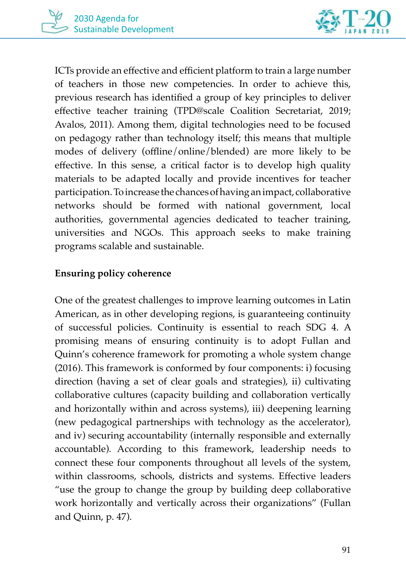

ICTs provide an effective and efficient platform to train a large number of teachers in those new competencies. In order to achieve this, previous research has identified a group of key principles to deliver effective teacher training (TPD@scale Coalition Secretariat, 2019; Avalos, 2011). Among them, digital technologies need to be focused on pedagogy rather than technology itself; this means that multiple modes of delivery (offline/online/blended) are more likely to be effective. In this sense, a critical factor is to develop high quality materials to be adapted locally and provide incentives for teacher participation. To increase the chances of having an impact, collaborative networks should be formed with national government, local authorities, governmental agencies dedicated to teacher training, universities and NGOs. This approach seeks to make training programs scalable and sustainable.

#### **Ensuring policy coherence**

One of the greatest challenges to improve learning outcomes in Latin American, as in other developing regions, is guaranteeing continuity of successful policies. Continuity is essential to reach SDG 4. A promising means of ensuring continuity is to adopt Fullan and Quinn's coherence framework for promoting a whole system change (2016). This framework is conformed by four components: i) focusing direction (having a set of clear goals and strategies), ii) cultivating collaborative cultures (capacity building and collaboration vertically and horizontally within and across systems), iii) deepening learning (new pedagogical partnerships with technology as the accelerator), and iv) securing accountability (internally responsible and externally accountable). According to this framework, leadership needs to connect these four components throughout all levels of the system, within classrooms, schools, districts and systems. Effective leaders "use the group to change the group by building deep collaborative work horizontally and vertically across their organizations" (Fullan and Quinn, p. 47).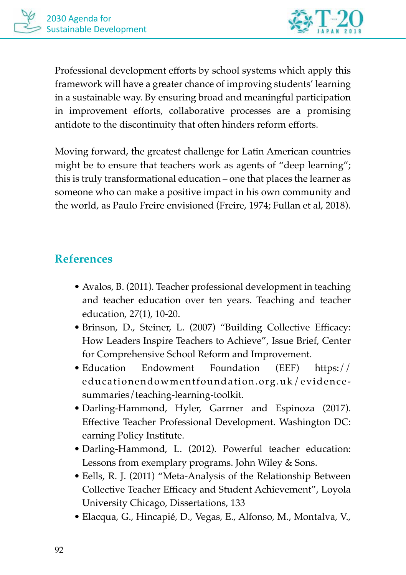

Professional development efforts by school systems which apply this framework will have a greater chance of improving students' learning in a sustainable way. By ensuring broad and meaningful participation in improvement efforts, collaborative processes are a promising antidote to the discontinuity that often hinders reform efforts.

Moving forward, the greatest challenge for Latin American countries might be to ensure that teachers work as agents of "deep learning"; this is truly transformational education – one that places the learner as someone who can make a positive impact in his own community and the world, as Paulo Freire envisioned (Freire, 1974; Fullan et al, 2018).

### **References**

- Avalos, B. (2011). Teacher professional development in teaching and teacher education over ten years. Teaching and teacher education, 27(1), 10-20.
- Brinson, D., Steiner, L. (2007) "Building Collective Efficacy: How Leaders Inspire Teachers to Achieve", Issue Brief, Center for Comprehensive School Reform and Improvement.
- Education Endowment Foundation (EEF) https:// educationendowmentfoundation.org.uk/evidencesummaries/teaching-learning-toolkit.
- Darling-Hammond, Hyler, Garrner and Espinoza (2017). Effective Teacher Professional Development. Washington DC: earning Policy Institute.
- Darling-Hammond, L. (2012). Powerful teacher education: Lessons from exemplary programs. John Wiley & Sons.
- Eells, R. J. (2011) "Meta-Analysis of the Relationship Between Collective Teacher Efficacy and Student Achievement", Loyola University Chicago, Dissertations, 133
- Elacqua, G., Hincapié, D., Vegas, E., Alfonso, M., Montalva, V.,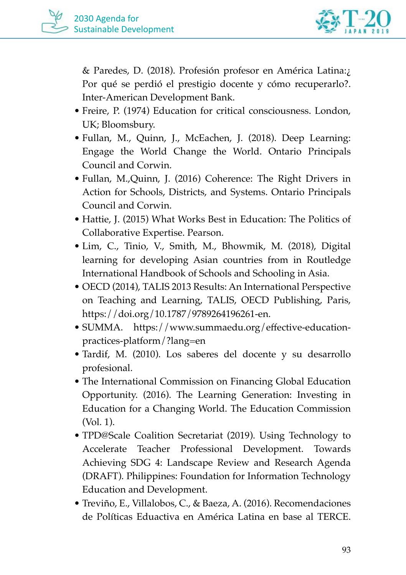

& Paredes, D. (2018). Profesión profesor en América Latina:¿ Por qué se perdió el prestigio docente y cómo recuperarlo?. Inter-American Development Bank.

- Freire, P. (1974) Education for critical consciousness. London, UK; Bloomsbury.
- Fullan, M., Quinn, J., McEachen, J. (2018). Deep Learning: Engage the World Change the World. Ontario Principals Council and Corwin.
- Fullan, M.,Quinn, J. (2016) Coherence: The Right Drivers in Action for Schools, Districts, and Systems. Ontario Principals Council and Corwin.
- Hattie, J. (2015) What Works Best in Education: The Politics of Collaborative Expertise. Pearson.
- Lim, C., Tinio, V., Smith, M., Bhowmik, M. (2018), Digital learning for developing Asian countries from in Routledge International Handbook of Schools and Schooling in Asia.
- OECD (2014), TALIS 2013 Results: An International Perspective on Teaching and Learning, TALIS, OECD Publishing, Paris, https://doi.org/10.1787/9789264196261-en.
- SUMMA. https://www.summaedu.org/effective-educationpractices-platform/?lang=en
- Tardif, M. (2010). Los saberes del docente y su desarrollo profesional.
- The International Commission on Financing Global Education Opportunity. (2016). The Learning Generation: Investing in Education for a Changing World. The Education Commission (Vol. 1).
- TPD@Scale Coalition Secretariat (2019). Using Technology to Accelerate Teacher Professional Development. Towards Achieving SDG 4: Landscape Review and Research Agenda (DRAFT). Philippines: Foundation for Information Technology Education and Development.
- Treviño, E., Villalobos, C., & Baeza, A. (2016). Recomendaciones de Políticas Eduactiva en América Latina en base al TERCE.